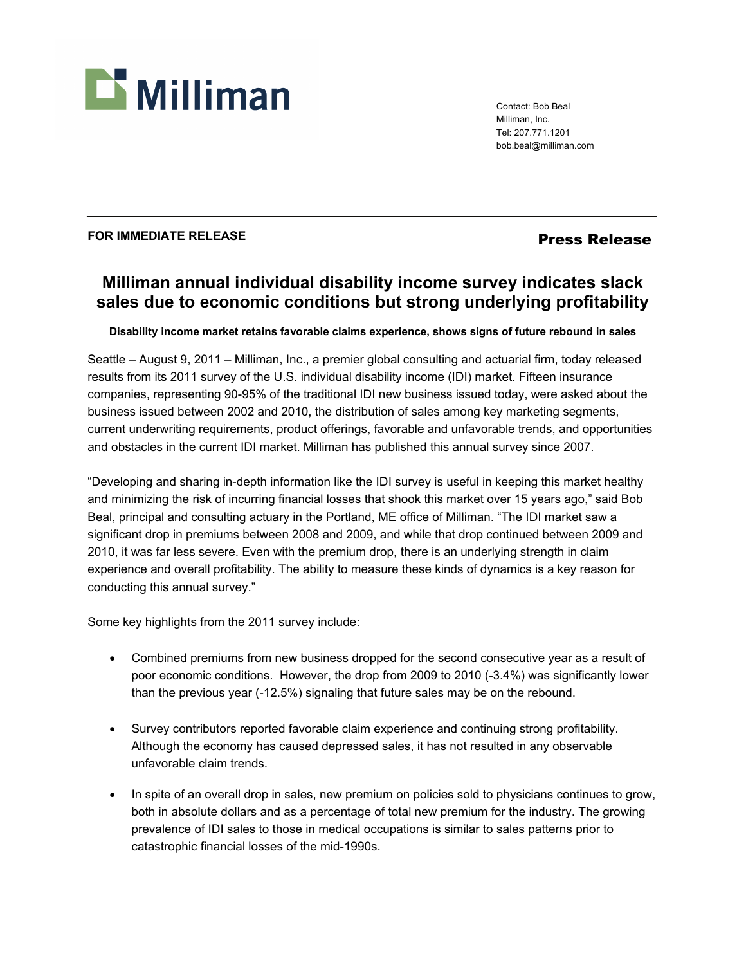

Contact: Bob Beal Milliman, Inc. Tel: 207.771.1201 bob.beal@milliman.com

## **FOR IMMEDIATE RELEASE** *Press Release*

## **Milliman annual individual disability income survey indicates slack sales due to economic conditions but strong underlying profitability**

**Disability income market retains favorable claims experience, shows signs of future rebound in sales** 

Seattle – August 9, 2011 – Milliman, Inc., a premier global consulting and actuarial firm, today released results from its 2011 survey of the U.S. individual disability income (IDI) market. Fifteen insurance companies, representing 90-95% of the traditional IDI new business issued today, were asked about the business issued between 2002 and 2010, the distribution of sales among key marketing segments, current underwriting requirements, product offerings, favorable and unfavorable trends, and opportunities and obstacles in the current IDI market. Milliman has published this annual survey since 2007.

"Developing and sharing in-depth information like the IDI survey is useful in keeping this market healthy and minimizing the risk of incurring financial losses that shook this market over 15 years ago," said Bob Beal, principal and consulting actuary in the Portland, ME office of Milliman. "The IDI market saw a significant drop in premiums between 2008 and 2009, and while that drop continued between 2009 and 2010, it was far less severe. Even with the premium drop, there is an underlying strength in claim experience and overall profitability. The ability to measure these kinds of dynamics is a key reason for conducting this annual survey."

Some key highlights from the 2011 survey include:

- Combined premiums from new business dropped for the second consecutive year as a result of poor economic conditions. However, the drop from 2009 to 2010 (-3.4%) was significantly lower than the previous year (-12.5%) signaling that future sales may be on the rebound.
- Survey contributors reported favorable claim experience and continuing strong profitability. Although the economy has caused depressed sales, it has not resulted in any observable unfavorable claim trends.
- In spite of an overall drop in sales, new premium on policies sold to physicians continues to grow, both in absolute dollars and as a percentage of total new premium for the industry. The growing prevalence of IDI sales to those in medical occupations is similar to sales patterns prior to catastrophic financial losses of the mid-1990s.